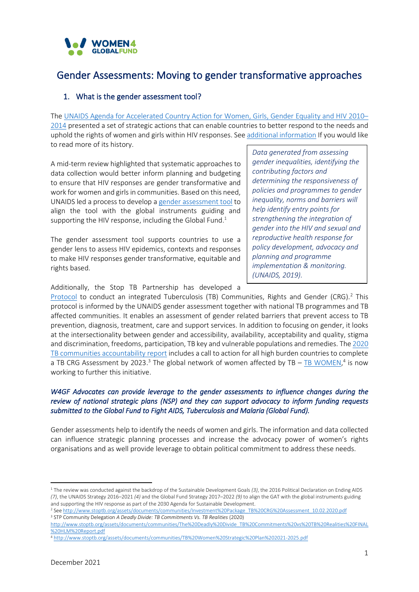

# Gender Assessments: Moving to gender transformative approaches

### 1. What is the gender assessment tool?

The [UNAIDS Agenda for Accelerated Country Action for Women, Girls, Gender Equality and HIV 2010](https://unaids-test.unaids.org/sites/default/files/unaids/contentassets/documents/unaidspublication/2010/20100226_jc1794_agenda_for_accelerated_country_action_en.pdf)– [2014](https://unaids-test.unaids.org/sites/default/files/unaids/contentassets/documents/unaidspublication/2010/20100226_jc1794_agenda_for_accelerated_country_action_en.pdf) presented a set of strategic actions that can enable countries to better respond to the needs and uphold the rights of women and girls within HIV responses. See [additional information](https://www.unaids.org/sites/default/files/media_asset/jc1825_community_brief_en_0.pdf) If you would like to read more of its history.

A mid-term review highlighted that systematic approaches to data collection would better inform planning and budgeting to ensure that HIV responses are gender transformative and work for women and girls in communities. Based on this need, UNAIDS led a process to develop [a gender assessment tool](https://www.unaids.org/sites/default/files/media_asset/unaids-gender-assessment-tool_en.pdf) to align the tool with the global instruments guiding and supporting the HIV response, including the Global Fund.<sup>1</sup>

The gender assessment tool supports countries to use a gender lens to assess HIV epidemics, contexts and responses to make HIV responses gender transformative, equitable and rights based.

*Data generated from assessing gender inequalities, identifying the contributing factors and determining the responsiveness of policies and programmes to gender inequality, norms and barriers will help identify entry points for strengthening the integration of gender into the HIV and sexual and reproductive health response for policy development, advocacy and planning and programme implementation & monitoring. (UNAIDS, 2019).*

Additionally, the Stop TB Partnership has developed a

[Protocol](http://www.stoptb.org/assets/documents/communities/Investment%20Package_TB%20CRG%20Assessment_10.02.2020.pdf) to conduct an integrated Tuberculosis (TB) Communities, Rights and Gender (CRG).<sup>2</sup> This protocol is informed by the UNAIDS gender assessment together with national TB programmes and TB affected communities. It enables an assessment of gender related barriers that prevent access to TB prevention, diagnosis, treatment, care and support services. In addition to focusing on gender, it looks at the intersectionality between gender and accessibility, availability, acceptability and quality, stigma and discrimination, freedoms, participation, TB key and vulnerable populations and remedies. Th[e 2020](http://www.stoptb.org/assets/documents/communities/The%20Deadly%20Divide_TB%20Commitments%20vs%20TB%20Realities%20FINAL%20HLM%20Report.pdf)  [TB communities accountability report](http://www.stoptb.org/assets/documents/communities/The%20Deadly%20Divide_TB%20Commitments%20vs%20TB%20Realities%20FINAL%20HLM%20Report.pdf) includes a call to action for all high burden countries to complete a TB CRG Assessment by 2023.<sup>3</sup> The global network of women affected by TB –  $\frac{7B}{12}$  WOMEN,<sup>4</sup> is now working to further this initiative.

#### *W4GF Advocates can provide leverage to the gender assessments to influence changes during the review of national strategic plans (NSP) and they can support advocacy to inform funding requests submitted to the Global Fund to Fight AIDS, Tuberculosis and Malaria (Global Fund).*

Gender assessments help to identify the needs of women and girls. The information and data collected can influence strategic planning processes and increase the advocacy power of women's rights organisations and as well provide leverage to obtain political commitment to address these needs.

<sup>1</sup> The review was conducted against the backdrop of the Sustainable Development Goals *(3)*, the 2016 Political Declaration on Ending AIDS *(7)*, the UNAIDS Strategy 2016–2021 *(4)* and the Global Fund Strategy 2017–2022 *(9)* to align the GAT with the global instruments guiding and supporting the HIV response as part of the 2030 Agenda for Sustainable Development.

<sup>2</sup> Se[e http://www.stoptb.org/assets/documents/communities/Investment%20Package\\_TB%20CRG%20Assessment\\_10.02.2020.pdf](http://www.stoptb.org/assets/documents/communities/Investment%20Package_TB%20CRG%20Assessment_10.02.2020.pdf) <sup>3</sup> STP Community Delegation *A Deadly Divide: TB Commitments Vs. TB Realities* (2020)

[http://www.stoptb.org/assets/documents/communities/The%20Deadly%20Divide\\_TB%20Commitments%20vs%20TB%20Realities%20FINAL](http://www.stoptb.org/assets/documents/communities/The%20Deadly%20Divide_TB%20Commitments%20vs%20TB%20Realities%20FINAL%20HLM%20Report.pdf) [%20HLM%20Report.pdf](http://www.stoptb.org/assets/documents/communities/The%20Deadly%20Divide_TB%20Commitments%20vs%20TB%20Realities%20FINAL%20HLM%20Report.pdf)

<sup>4</sup> <http://www.stoptb.org/assets/documents/communities/TB%20Women%20Strategic%20Plan%202021-2025.pdf>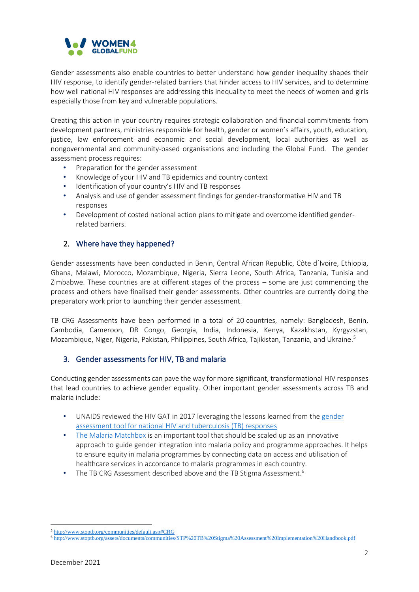

Gender assessments also enable countries to better understand how gender inequality shapes their HIV response, to identify gender-related barriers that hinder access to HIV services, and to determine how well national HIV responses are addressing this inequality to meet the needs of women and girls especially those from key and vulnerable populations.

Creating this action in your country requires strategic collaboration and financial commitments from development partners, ministries responsible for health, gender or women's affairs, youth, education, justice, law enforcement and economic and social development, local authorities as well as nongovernmental and community-based organisations and including the Global Fund. The gender assessment process requires:

- Preparation for the gender assessment
- Knowledge of your HIV and TB epidemics and country context
- Identification of your country's HIV and TB responses
- Analysis and use of gender assessment findings for gender-transformative HIV and TB responses
- Development of costed national action plans to mitigate and overcome identified genderrelated barriers.

## 2. Where have they happened?

Gender assessments have been conducted in Benin, Central African Republic, Côte d´Ivoire, Ethiopia, Ghana, Malawi, Morocco, Mozambique, Nigeria, Sierra Leone, South Africa, Tanzania, Tunisia and Zimbabwe. These countries are at different stages of the process – some are just commencing the process and others have finalised their gender assessments. Other countries are currently doing the preparatory work prior to launching their gender assessment.

TB CRG Assessments have been performed in a total of 20 countries, namely: Bangladesh, Benin, Cambodia, Cameroon, DR Congo, Georgia, India, Indonesia, Kenya, Kazakhstan, Kyrgyzstan, Mozambique, Niger, Nigeria, Pakistan, Philippines, South Africa, Tajikistan, Tanzania, and Ukraine.<sup>5</sup>

#### 3. Gender assessments for HIV, TB and malaria

Conducting gender assessments can pave the way for more significant, transformational HIV responses that lead countries to achieve gender equality. Other important gender assessments across TB and malaria include:

- UNAIDS reviewed the HIV GAT in 2017 leveraging the lessons learned from the gender [assessment tool for national HIV and tuberculosis \(TB\) responses](http://www.stoptb.org/assets/documents/communities/Gender_Assessment_Tool_TB_HIV_UNAIDS_FINAL_2016%20ENG.pdf)
- [The Malaria Matchbox](https://endmalaria.org/sites/default/files/Malaria%20Matchbox%20Tool_en_web.pdf) is an important tool that should be scaled up as an innovative approach to guide gender integration into malaria policy and programme approaches. It helps to ensure equity in malaria programmes by connecting data on access and utilisation of healthcare services in accordance to malaria programmes in each country.
- The TB CRG Assessment described above and the TB Stigma Assessment.<sup>6</sup>

<sup>5</sup> <http://www.stoptb.org/communities/default.asp#CRG>

<sup>6</sup> <http://www.stoptb.org/assets/documents/communities/STP%20TB%20Stigma%20Assessment%20Implementation%20Handbook.pdf>